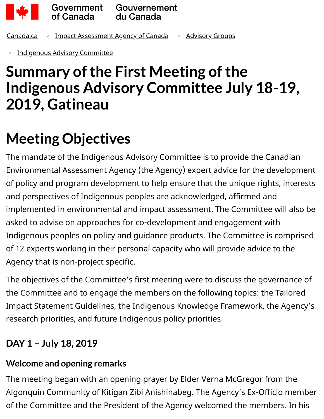

[Canada.ca](https://www.canada.ca/en.html) > [Impact Assessment Agency of Canada](https://www.canada.ca/en/impact-assessment-agency.html) > [Advisory Groups](https://www.canada.ca/en/impact-assessment-agency/advisory/advisory-groups.html)

[Indigenous Advisory Committee](https://www.canada.ca/en/impact-assessment-agency/advisory/advisory-groups/indigenous-advisory-committee.html) >

# **Summary of the First Meeting of the Indigenous Advisory Committee July 18-19, 2019, Gatineau**

# **Meeting Objectives**

The mandate of the Indigenous Advisory Committee is to provide the Canadian Environmental Assessment Agency (the Agency) expert advice for the development of policy and program development to help ensure that the unique rights, interests and perspectives of Indigenous peoples are acknowledged, affirmed and implemented in environmental and impact assessment. The Committee will also be asked to advise on approaches for co-development and engagement with Indigenous peoples on policy and guidance products. The Committee is comprised of 12 experts working in their personal capacity who will provide advice to the Agency that is non-project specific.

The objectives of the Committee's first meeting were to discuss the governance of the Committee and to engage the members on the following topics: the Tailored Impact Statement Guidelines, the Indigenous Knowledge Framework, the Agency's research priorities, and future Indigenous policy priorities.

# **DAY 1 – July 18, 2019**

# **Welcome and opening remarks**

The meeting began with an opening prayer by Elder Verna McGregor from the Algonquin Community of Kitigan Zibi Anishinabeg. The Agency's Ex-Officio member of the Committee and the President of the Agency welcomed the members. In his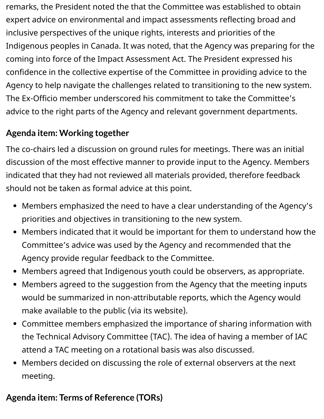remarks, the President noted the that the Committee was established to obtain expert advice on environmental and impact assessments reflecting broad and inclusive perspectives of the unique rights, interests and priorities of the Indigenous peoples in Canada. It was noted, that the Agency was preparing for the coming into force of the Impact Assessment Act. The President expressed his confidence in the collective expertise of the Committee in providing advice to the Agency to help navigate the challenges related to transitioning to the new system. The Ex-Officio member underscored his commitment to take the Committee's advice to the right parts of the Agency and relevant government departments.

## **Agenda item: Working together**

The co-chairs led a discussion on ground rules for meetings. There was an initial discussion of the most effective manner to provide input to the Agency. Members indicated that they had not reviewed all materials provided, therefore feedback should not be taken as formal advice at this point.

- Members emphasized the need to have a clear understanding of the Agency's priorities and objectives in transitioning to the new system.
- Members indicated that it would be important for them to understand how the Committee's advice was used by the Agency and recommended that the Agency provide regular feedback to the Committee.
- Members agreed that Indigenous youth could be observers, as appropriate.
- Members agreed to the suggestion from the Agency that the meeting inputs would be summarized in non-attributable reports, which the Agency would make available to the public (via its website).
- Committee members emphasized the importance of sharing information with the Technical Advisory Committee (TAC). The idea of having a member of IAC attend a TAC meeting on a rotational basis was also discussed.
- Members decided on discussing the role of external observers at the next meeting.

# **Agenda item: Terms of Reference (TORs)**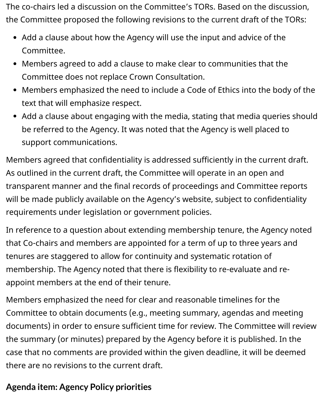The co-chairs led a discussion on the Committee's TORs. Based on the discussion, the Committee proposed the following revisions to the current draft of the TORs:

- Add a clause about how the Agency will use the input and advice of the Committee.
- Members agreed to add a clause to make clear to communities that the Committee does not replace Crown Consultation.
- Members emphasized the need to include a Code of Ethics into the body of the text that will emphasize respect.
- Add a clause about engaging with the media, stating that media queries should be referred to the Agency. It was noted that the Agency is well placed to support communications.

Members agreed that confidentiality is addressed sufficiently in the current draft. As outlined in the current draft, the Committee will operate in an open and transparent manner and the final records of proceedings and Committee reports will be made publicly available on the Agency's website, subject to confidentiality requirements under legislation or government policies.

In reference to a question about extending membership tenure, the Agency noted that Co-chairs and members are appointed for a term of up to three years and tenures are staggered to allow for continuity and systematic rotation of membership. The Agency noted that there is flexibility to re-evaluate and reappoint members at the end of their tenure.

Members emphasized the need for clear and reasonable timelines for the Committee to obtain documents (e.g., meeting summary, agendas and meeting documents) in order to ensure sufficient time for review. The Committee will review the summary (or minutes) prepared by the Agency before it is published. In the case that no comments are provided within the given deadline, it will be deemed there are no revisions to the current draft.

#### **Agenda item: Agency Policy priorities**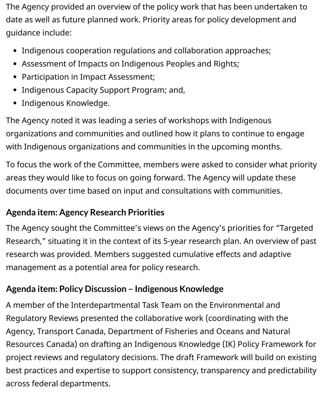The Agency provided an overview of the policy work that has been undertaken to date as well as future planned work. Priority areas for policy development and guidance include:

- Indigenous cooperation regulations and collaboration approaches;
- Assessment of Impacts on Indigenous Peoples and Rights;
- Participation in Impact Assessment;
- Indigenous Capacity Support Program; and,
- Indigenous Knowledge.

The Agency noted it was leading a series of workshops with Indigenous organizations and communities and outlined how it plans to continue to engage with Indigenous organizations and communities in the upcoming months.

To focus the work of the Committee, members were asked to consider what priority areas they would like to focus on going forward. The Agency will update these documents over time based on input and consultations with communities.

#### **Agenda item: Agency Research Priorities**

The Agency sought the Committee's views on the Agency's priorities for "Targeted Research," situating it in the context of its 5-year research plan. An overview of past research was provided. Members suggested cumulative effects and adaptive management as a potential area for policy research.

#### **Agenda item: Policy Discussion – Indigenous Knowledge**

A member of the Interdepartmental Task Team on the Environmental and Regulatory Reviews presented the collaborative work (coordinating with the Agency, Transport Canada, Department of Fisheries and Oceans and Natural Resources Canada) on drafting an Indigenous Knowledge (IK) Policy Framework for project reviews and regulatory decisions. The draft Framework will build on existing best practices and expertise to support consistency, transparency and predictability across federal departments.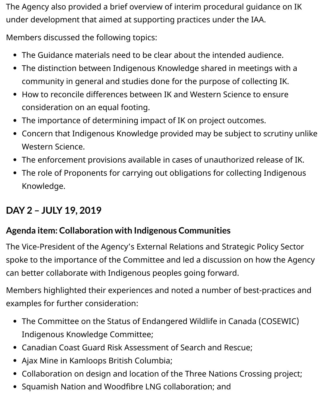The Agency also provided a brief overview of interim procedural guidance on IK under development that aimed at supporting practices under the IAA.

Members discussed the following topics:

- The Guidance materials need to be clear about the intended audience.
- The distinction between Indigenous Knowledge shared in meetings with a community in general and studies done for the purpose of collecting IK.
- How to reconcile differences between IK and Western Science to ensure consideration on an equal footing.
- The importance of determining impact of IK on project outcomes.
- Concern that Indigenous Knowledge provided may be subject to scrutiny unlike Western Science.
- The enforcement provisions available in cases of unauthorized release of IK.
- The role of Proponents for carrying out obligations for collecting Indigenous Knowledge.

# **DAY 2 – JULY 19, 2019**

#### **Agenda item: Collaboration with Indigenous Communities**

The Vice-President of the Agency's External Relations and Strategic Policy Sector spoke to the importance of the Committee and led a discussion on how the Agency can better collaborate with Indigenous peoples going forward.

Members highlighted their experiences and noted a number of best-practices and examples for further consideration:

- The Committee on the Status of Endangered Wildlife in Canada (COSEWIC) Indigenous Knowledge Committee;
- Canadian Coast Guard Risk Assessment of Search and Rescue;
- Ajax Mine in Kamloops British Columbia;
- Collaboration on design and location of the Three Nations Crossing project;
- Squamish Nation and Woodfibre LNG collaboration; and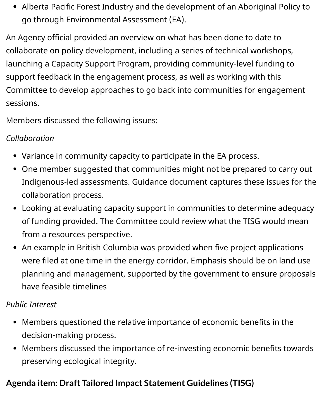Alberta Pacific Forest Industry and the development of an Aboriginal Policy to go through Environmental Assessment (EA).

An Agency official provided an overview on what has been done to date to collaborate on policy development, including a series of technical workshops, launching a Capacity Support Program, providing community-level funding to support feedback in the engagement process, as well as working with this Committee to develop approaches to go back into communities for engagement sessions.

Members discussed the following issues:

#### *Collaboration*

- Variance in community capacity to participate in the EA process.
- One member suggested that communities might not be prepared to carry out Indigenous-led assessments. Guidance document captures these issues for the collaboration process.
- Looking at evaluating capacity support in communities to determine adequacy of funding provided. The Committee could review what the TISG would mean from a resources perspective.
- An example in British Columbia was provided when five project applications were filed at one time in the energy corridor. Emphasis should be on land use planning and management, supported by the government to ensure proposals have feasible timelines

#### *Public Interest*

- Members questioned the relative importance of economic benefits in the decision-making process.
- Members discussed the importance of re-investing economic benefits towards preserving ecological integrity.

# **Agenda item: Draft Tailored Impact Statement Guidelines (TISG)**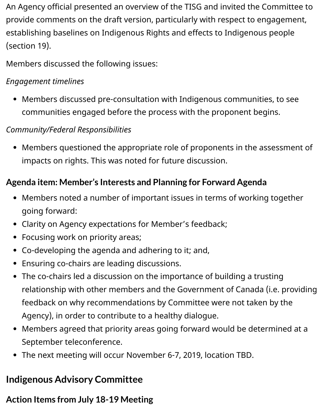An Agency official presented an overview of the TISG and invited the Committee to provide comments on the draft version, particularly with respect to engagement, establishing baselines on Indigenous Rights and effects to Indigenous people (section 19).

Members discussed the following issues:

#### *Engagement timelines*

Members discussed pre-consultation with Indigenous communities, to see communities engaged before the process with the proponent begins.

#### *Community/Federal Responsibilities*

Members questioned the appropriate role of proponents in the assessment of impacts on rights. This was noted for future discussion.

## **Agenda item: Member's Interests and Planning for Forward Agenda**

- Members noted a number of important issues in terms of working together going forward:
- Clarity on Agency expectations for Member's feedback;
- Focusing work on priority areas;
- Co-developing the agenda and adhering to it; and,
- Ensuring co-chairs are leading discussions.
- The co-chairs led a discussion on the importance of building a trusting relationship with other members and the Government of Canada (i.e. providing feedback on why recommendations by Committee were not taken by the Agency), in order to contribute to a healthy dialogue.
- Members agreed that priority areas going forward would be determined at a September teleconference.
- The next meeting will occur November 6-7, 2019, location TBD.

# **Indigenous Advisory Committee**

# **Action Items from July 18-19 Meeting**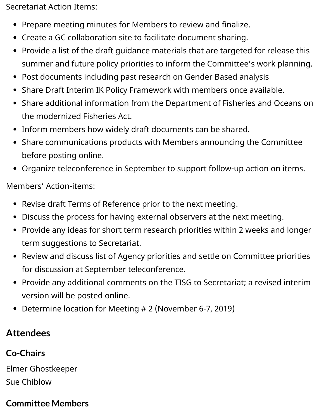Secretariat Action Items:

- Prepare meeting minutes for Members to review and finalize.
- Create a GC collaboration site to facilitate document sharing.
- Provide a list of the draft guidance materials that are targeted for release this summer and future policy priorities to inform the Committee's work planning.
- Post documents including past research on Gender Based analysis
- Share Draft Interim IK Policy Framework with members once available.
- Share additional information from the Department of Fisheries and Oceans on the modernized Fisheries Act.
- Inform members how widely draft documents can be shared.
- Share communications products with Members announcing the Committee before posting online.
- Organize teleconference in September to support follow-up action on items.

Members' Action-items:

- Revise draft Terms of Reference prior to the next meeting.
- Discuss the process for having external observers at the next meeting.
- Provide any ideas for short term research priorities within 2 weeks and longer term suggestions to Secretariat.
- Review and discuss list of Agency priorities and settle on Committee priorities for discussion at September teleconference.
- Provide any additional comments on the TISG to Secretariat; a revised interim version will be posted online.
- Determine location for Meeting # 2 (November 6-7, 2019)

## **Attendees**

## **Co-Chairs**

Elmer Ghostkeeper Sue Chiblow

#### **Committee Members**